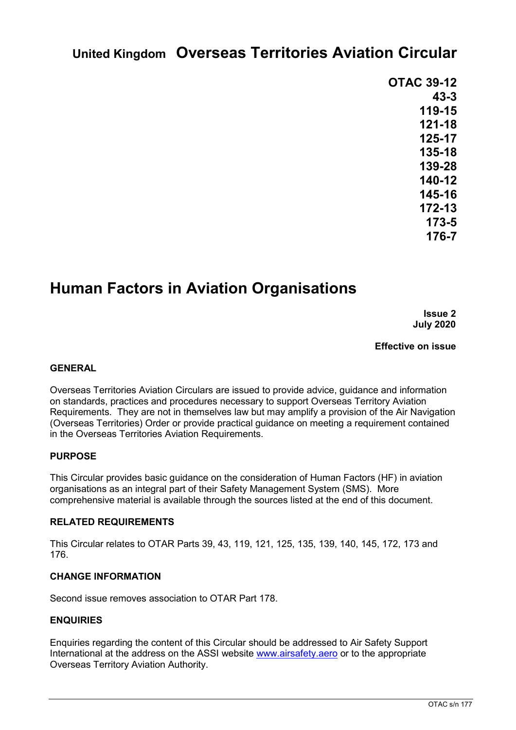# **United Kingdom Overseas Territories Aviation Circular**

| <b>OTAC 39-12</b> |          |  |
|-------------------|----------|--|
|                   | $43 - 3$ |  |
|                   | 119-15   |  |
|                   | 121-18   |  |
|                   | 125-17   |  |
|                   | 135-18   |  |
|                   | 139-28   |  |
|                   | 140-12   |  |
|                   | 145-16   |  |
|                   | 172-13   |  |
|                   | 173-5    |  |
|                   | 176-7    |  |
|                   |          |  |

# **Human Factors in Aviation Organisations**

**Issue 2 July 2020**

**Effective on issue**

### **GENERAL**

Overseas Territories Aviation Circulars are issued to provide advice, guidance and information on standards, practices and procedures necessary to support Overseas Territory Aviation Requirements. They are not in themselves law but may amplify a provision of the Air Navigation (Overseas Territories) Order or provide practical guidance on meeting a requirement contained in the Overseas Territories Aviation Requirements.

#### **PURPOSE**

This Circular provides basic guidance on the consideration of Human Factors (HF) in aviation organisations as an integral part of their Safety Management System (SMS). More comprehensive material is available through the sources listed at the end of this document.

#### **RELATED REQUIREMENTS**

This Circular relates to OTAR Parts 39, 43, 119, 121, 125, 135, 139, 140, 145, 172, 173 and 176.

### **CHANGE INFORMATION**

Second issue removes association to OTAR Part 178.

### **ENQUIRIES**

Enquiries regarding the content of this Circular should be addressed to Air Safety Support International at the address on the ASSI website www.airsafety.aero or to the appropriate Overseas Territory Aviation Authority.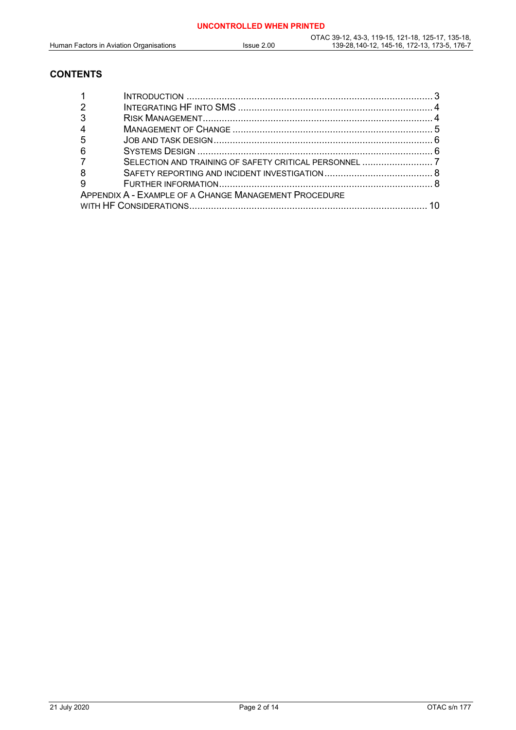### **CONTENTS**

| -3                                                    |                                                       |  |  |  |
|-------------------------------------------------------|-------------------------------------------------------|--|--|--|
| $\overline{4}$                                        |                                                       |  |  |  |
| -5                                                    |                                                       |  |  |  |
| -6                                                    |                                                       |  |  |  |
| $\overline{7}$                                        | SELECTION AND TRAINING OF SAFETY CRITICAL PERSONNEL 7 |  |  |  |
| -8                                                    |                                                       |  |  |  |
| 9                                                     |                                                       |  |  |  |
| APPENDIX A - EXAMPLE OF A CHANGE MANAGEMENT PROCEDURE |                                                       |  |  |  |
| 10                                                    |                                                       |  |  |  |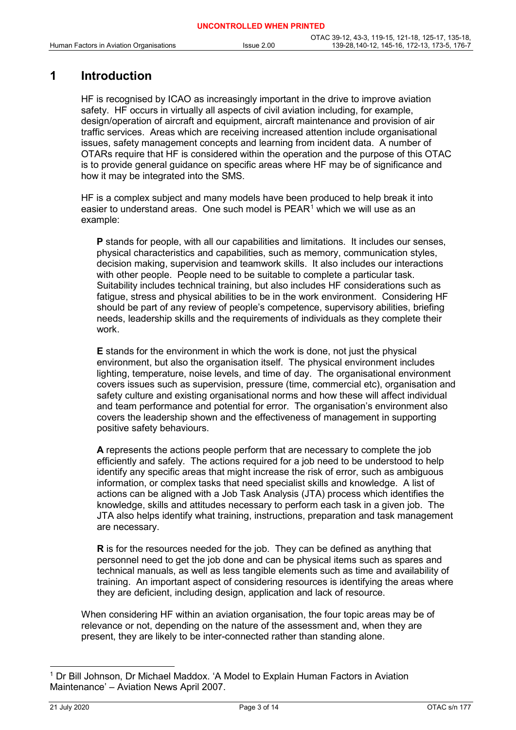# **1 Introduction**

HF is recognised by ICAO as increasingly important in the drive to improve aviation safety. HF occurs in virtually all aspects of civil aviation including, for example, design/operation of aircraft and equipment, aircraft maintenance and provision of air traffic services. Areas which are receiving increased attention include organisational issues, safety management concepts and learning from incident data. A number of OTARs require that HF is considered within the operation and the purpose of this OTAC is to provide general guidance on specific areas where HF may be of significance and how it may be integrated into the SMS.

HF is a complex subject and many models have been produced to help break it into easier to understand areas. One such model is  $PEAR<sup>1</sup>$  $PEAR<sup>1</sup>$  $PEAR<sup>1</sup>$  which we will use as an example:

**P** stands for people, with all our capabilities and limitations. It includes our senses, physical characteristics and capabilities, such as memory, communication styles, decision making, supervision and teamwork skills. It also includes our interactions with other people. People need to be suitable to complete a particular task. Suitability includes technical training, but also includes HF considerations such as fatigue, stress and physical abilities to be in the work environment. Considering HF should be part of any review of people's competence, supervisory abilities, briefing needs, leadership skills and the requirements of individuals as they complete their work.

**E** stands for the environment in which the work is done, not just the physical environment, but also the organisation itself. The physical environment includes lighting, temperature, noise levels, and time of day. The organisational environment covers issues such as supervision, pressure (time, commercial etc), organisation and safety culture and existing organisational norms and how these will affect individual and team performance and potential for error. The organisation's environment also covers the leadership shown and the effectiveness of management in supporting positive safety behaviours.

**A** represents the actions people perform that are necessary to complete the job efficiently and safely. The actions required for a job need to be understood to help identify any specific areas that might increase the risk of error, such as ambiguous information, or complex tasks that need specialist skills and knowledge. A list of actions can be aligned with a Job Task Analysis (JTA) process which identifies the knowledge, skills and attitudes necessary to perform each task in a given job. The JTA also helps identify what training, instructions, preparation and task management are necessary.

**R** is for the resources needed for the job. They can be defined as anything that personnel need to get the job done and can be physical items such as spares and technical manuals, as well as less tangible elements such as time and availability of training. An important aspect of considering resources is identifying the areas where they are deficient, including design, application and lack of resource.

When considering HF within an aviation organisation, the four topic areas may be of relevance or not, depending on the nature of the assessment and, when they are present, they are likely to be inter-connected rather than standing alone.

<span id="page-2-0"></span> <sup>1</sup> Dr Bill Johnson, Dr Michael Maddox. 'A Model to Explain Human Factors in Aviation Maintenance' – Aviation News April 2007.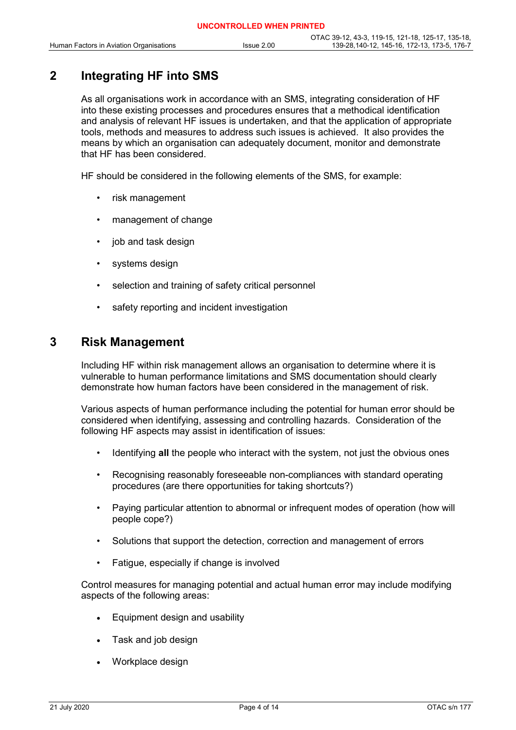# **2 Integrating HF into SMS**

As all organisations work in accordance with an SMS, integrating consideration of HF into these existing processes and procedures ensures that a methodical identification and analysis of relevant HF issues is undertaken, and that the application of appropriate tools, methods and measures to address such issues is achieved. It also provides the means by which an organisation can adequately document, monitor and demonstrate that HF has been considered.

HF should be considered in the following elements of the SMS, for example:

- risk management
- management of change
- job and task design
- systems design
- selection and training of safety critical personnel
- safety reporting and incident investigation

### **3 Risk Management**

Including HF within risk management allows an organisation to determine where it is vulnerable to human performance limitations and SMS documentation should clearly demonstrate how human factors have been considered in the management of risk.

Various aspects of human performance including the potential for human error should be considered when identifying, assessing and controlling hazards. Consideration of the following HF aspects may assist in identification of issues:

- Identifying **all** the people who interact with the system, not just the obvious ones
- Recognising reasonably foreseeable non-compliances with standard operating procedures (are there opportunities for taking shortcuts?)
- Paying particular attention to abnormal or infrequent modes of operation (how will people cope?)
- Solutions that support the detection, correction and management of errors
- Fatigue, especially if change is involved

Control measures for managing potential and actual human error may include modifying aspects of the following areas:

- Equipment design and usability
- Task and job design
- Workplace design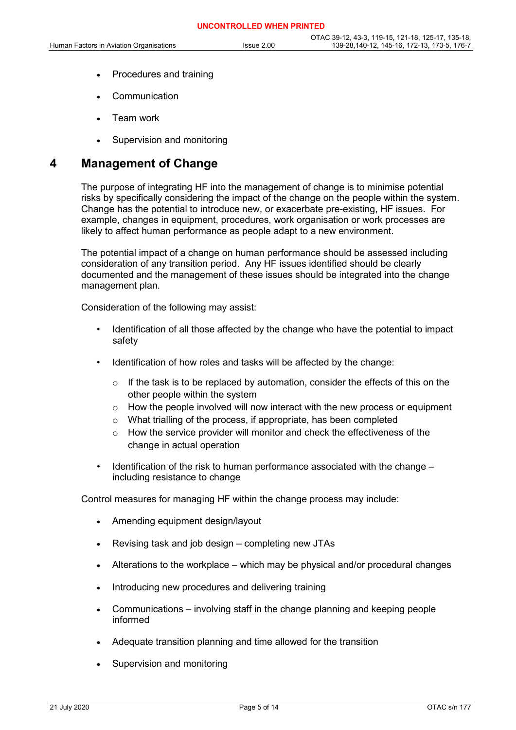- Procedures and training
- **Communication**
- Team work
- Supervision and monitoring

### **4 Management of Change**

The purpose of integrating HF into the management of change is to minimise potential risks by specifically considering the impact of the change on the people within the system. Change has the potential to introduce new, or exacerbate pre-existing, HF issues. For example, changes in equipment, procedures, work organisation or work processes are likely to affect human performance as people adapt to a new environment.

The potential impact of a change on human performance should be assessed including consideration of any transition period. Any HF issues identified should be clearly documented and the management of these issues should be integrated into the change management plan.

Consideration of the following may assist:

- Identification of all those affected by the change who have the potential to impact safety
- Identification of how roles and tasks will be affected by the change:
	- If the task is to be replaced by automation, consider the effects of this on the other people within the system
	- $\circ$  How the people involved will now interact with the new process or equipment
	- o What trialling of the process, if appropriate, has been completed
	- $\circ$  How the service provider will monitor and check the effectiveness of the change in actual operation
- Identification of the risk to human performance associated with the change including resistance to change

Control measures for managing HF within the change process may include:

- Amending equipment design/layout
- Revising task and job design completing new JTAs
- Alterations to the workplace which may be physical and/or procedural changes
- Introducing new procedures and delivering training
- Communications involving staff in the change planning and keeping people informed
- Adequate transition planning and time allowed for the transition
- Supervision and monitoring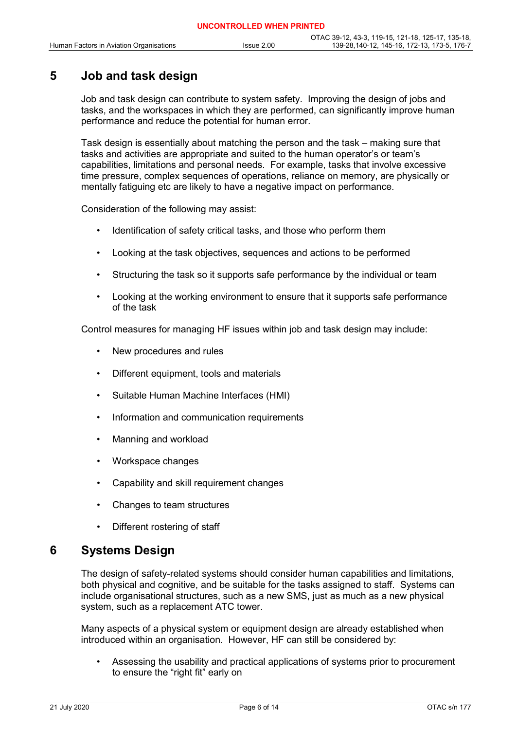# **5 Job and task design**

Job and task design can contribute to system safety. Improving the design of jobs and tasks, and the workspaces in which they are performed, can significantly improve human performance and reduce the potential for human error.

Task design is essentially about matching the person and the task – making sure that tasks and activities are appropriate and suited to the human operator's or team's capabilities, limitations and personal needs. For example, tasks that involve excessive time pressure, complex sequences of operations, reliance on memory, are physically or mentally fatiguing etc are likely to have a negative impact on performance.

Consideration of the following may assist:

- Identification of safety critical tasks, and those who perform them
- Looking at the task objectives, sequences and actions to be performed
- Structuring the task so it supports safe performance by the individual or team
- Looking at the working environment to ensure that it supports safe performance of the task

Control measures for managing HF issues within job and task design may include:

- New procedures and rules
- Different equipment, tools and materials
- Suitable Human Machine Interfaces (HMI)
- Information and communication requirements
- Manning and workload
- Workspace changes
- Capability and skill requirement changes
- Changes to team structures
- Different rostering of staff

## **6 Systems Design**

The design of safety-related systems should consider human capabilities and limitations, both physical and cognitive, and be suitable for the tasks assigned to staff. Systems can include organisational structures, such as a new SMS, just as much as a new physical system, such as a replacement ATC tower.

Many aspects of a physical system or equipment design are already established when introduced within an organisation. However, HF can still be considered by:

• Assessing the usability and practical applications of systems prior to procurement to ensure the "right fit" early on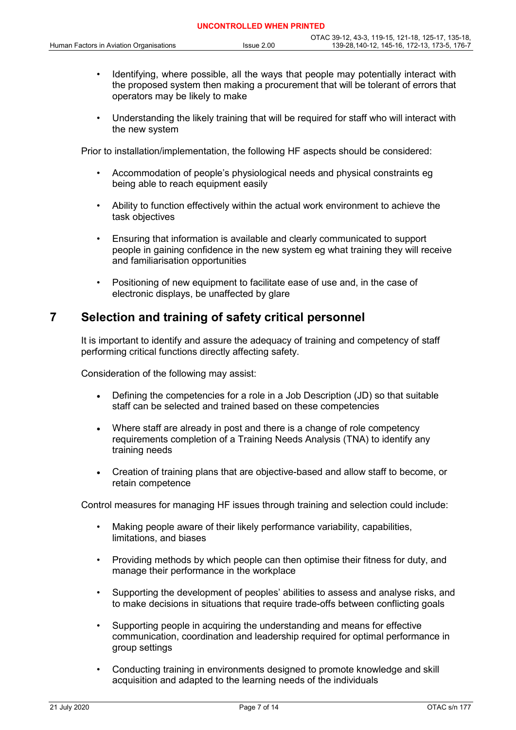- Identifying, where possible, all the ways that people may potentially interact with the proposed system then making a procurement that will be tolerant of errors that operators may be likely to make
- Understanding the likely training that will be required for staff who will interact with the new system

Prior to installation/implementation, the following HF aspects should be considered:

- Accommodation of people's physiological needs and physical constraints eg being able to reach equipment easily
- Ability to function effectively within the actual work environment to achieve the task objectives
- Ensuring that information is available and clearly communicated to support people in gaining confidence in the new system eg what training they will receive and familiarisation opportunities
- Positioning of new equipment to facilitate ease of use and, in the case of electronic displays, be unaffected by glare

## **7 Selection and training of safety critical personnel**

It is important to identify and assure the adequacy of training and competency of staff performing critical functions directly affecting safety.

Consideration of the following may assist:

- Defining the competencies for a role in a Job Description (JD) so that suitable staff can be selected and trained based on these competencies
- Where staff are already in post and there is a change of role competency requirements completion of a Training Needs Analysis (TNA) to identify any training needs
- Creation of training plans that are objective-based and allow staff to become, or retain competence

Control measures for managing HF issues through training and selection could include:

- Making people aware of their likely performance variability, capabilities, limitations, and biases
- Providing methods by which people can then optimise their fitness for duty, and manage their performance in the workplace
- Supporting the development of peoples' abilities to assess and analyse risks, and to make decisions in situations that require trade-offs between conflicting goals
- Supporting people in acquiring the understanding and means for effective communication, coordination and leadership required for optimal performance in group settings
- Conducting training in environments designed to promote knowledge and skill acquisition and adapted to the learning needs of the individuals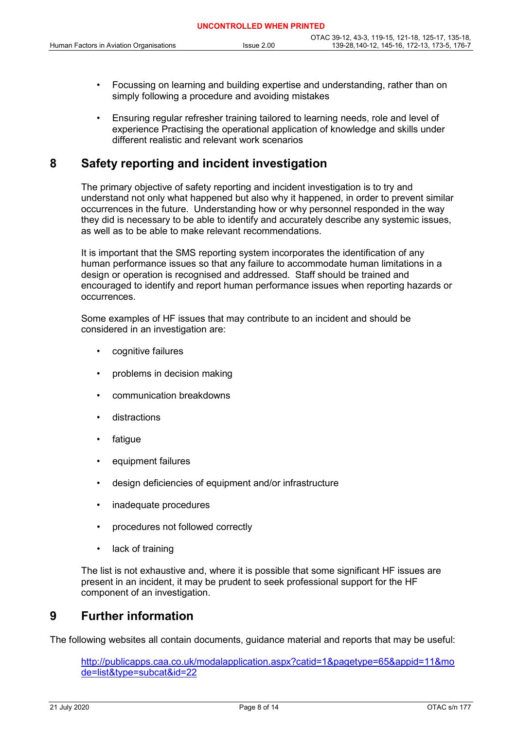- Focussing on learning and building expertise and understanding, rather than on simply following a procedure and avoiding mistakes
- Ensuring regular refresher training tailored to learning needs, role and level of experience Practising the operational application of knowledge and skills under different realistic and relevant work scenarios

# **8 Safety reporting and incident investigation**

The primary objective of safety reporting and incident investigation is to try and understand not only what happened but also why it happened, in order to prevent similar occurrences in the future. Understanding how or why personnel responded in the way they did is necessary to be able to identify and accurately describe any systemic issues, as well as to be able to make relevant recommendations.

It is important that the SMS reporting system incorporates the identification of any human performance issues so that any failure to accommodate human limitations in a design or operation is recognised and addressed. Staff should be trained and encouraged to identify and report human performance issues when reporting hazards or occurrences.

Some examples of HF issues that may contribute to an incident and should be considered in an investigation are:

- cognitive failures
- problems in decision making
- communication breakdowns
- distractions
- **fatigue**
- equipment failures
- design deficiencies of equipment and/or infrastructure
- inadequate procedures
- procedures not followed correctly
- lack of training

The list is not exhaustive and, where it is possible that some significant HF issues are present in an incident, it may be prudent to seek professional support for the HF component of an investigation.

## **9 Further information**

The following websites all contain documents, guidance material and reports that may be useful:

http://publicapps.caa.co.uk/modalapplication.aspx?catid=1&pagetype=65&appid=11&mo de=list&type=subcat&id=22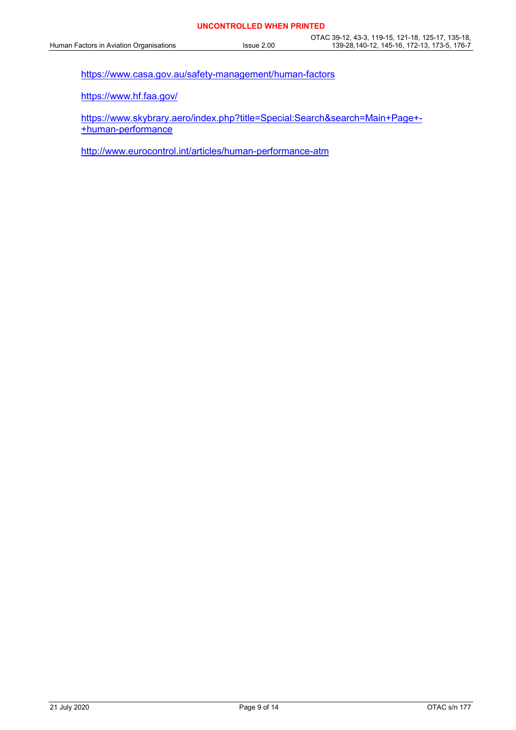https://www.casa.gov.au/safety-management/human-factors

https://www.hf.faa.gov/

https://www.skybrary.aero/index.php?title=Special:Search&search=Main+Page+- +human-performance

http://www.eurocontrol.int/articles/human-performance-atm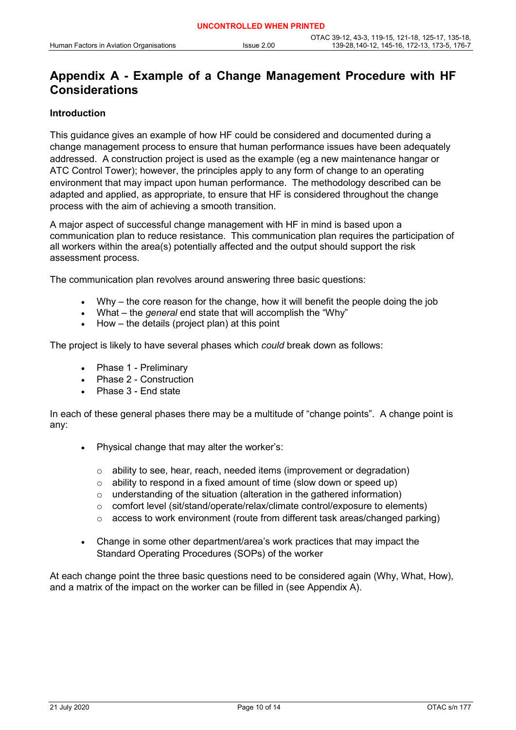# **Appendix A - Example of a Change Management Procedure with HF Considerations**

### **Introduction**

This guidance gives an example of how HF could be considered and documented during a change management process to ensure that human performance issues have been adequately addressed. A construction project is used as the example (eg a new maintenance hangar or ATC Control Tower); however, the principles apply to any form of change to an operating environment that may impact upon human performance. The methodology described can be adapted and applied, as appropriate, to ensure that HF is considered throughout the change process with the aim of achieving a smooth transition.

A major aspect of successful change management with HF in mind is based upon a communication plan to reduce resistance. This communication plan requires the participation of all workers within the area(s) potentially affected and the output should support the risk assessment process.

The communication plan revolves around answering three basic questions:

- Why the core reason for the change, how it will benefit the people doing the job
- What the *general* end state that will accomplish the "Why"
- $How the details (project plan) at this point$

The project is likely to have several phases which *could* break down as follows:

- Phase 1 Preliminary
- Phase 2 Construction
- Phase 3 End state

In each of these general phases there may be a multitude of "change points". A change point is any:

- Physical change that may alter the worker's:
	- o ability to see, hear, reach, needed items (improvement or degradation)
	- $\circ$  ability to respond in a fixed amount of time (slow down or speed up)
	- o understanding of the situation (alteration in the gathered information)
	- $\circ$  comfort level (sit/stand/operate/relax/climate control/exposure to elements)
	- $\circ$  access to work environment (route from different task areas/changed parking)
- Change in some other department/area's work practices that may impact the Standard Operating Procedures (SOPs) of the worker

At each change point the three basic questions need to be considered again (Why, What, How), and a matrix of the impact on the worker can be filled in (see Appendix A).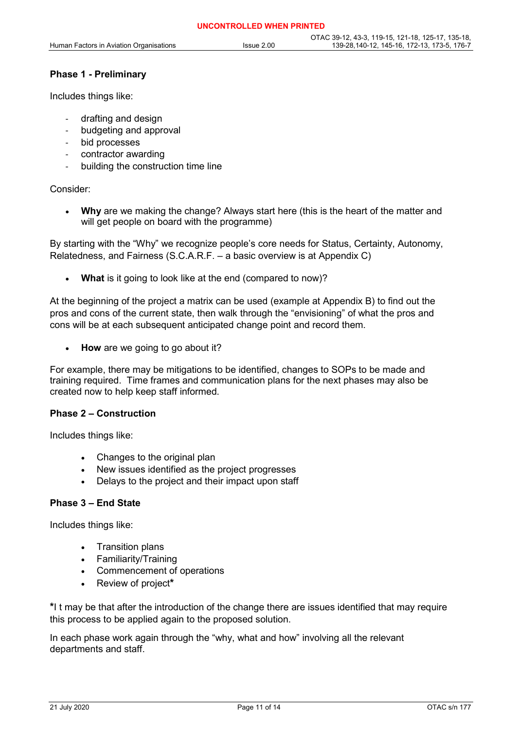### **Phase 1 - Preliminary**

Includes things like:

- drafting and design
- budgeting and approval
- bid processes
- contractor awarding
- building the construction time line

#### Consider:

• **Why** are we making the change? Always start here (this is the heart of the matter and will get people on board with the programme)

By starting with the "Why" we recognize people's core needs for Status, Certainty, Autonomy, Relatedness, and Fairness (S.C.A.R.F. – a basic overview is at Appendix C)

**What** is it going to look like at the end (compared to now)?

At the beginning of the project a matrix can be used (example at Appendix B) to find out the pros and cons of the current state, then walk through the "envisioning" of what the pros and cons will be at each subsequent anticipated change point and record them.

• **How** are we going to go about it?

For example, there may be mitigations to be identified, changes to SOPs to be made and training required. Time frames and communication plans for the next phases may also be created now to help keep staff informed.

### **Phase 2 – Construction**

Includes things like:

- Changes to the original plan
- New issues identified as the project progresses
- Delays to the project and their impact upon staff

#### **Phase 3 – End State**

Includes things like:

- Transition plans
- Familiarity/Training
- Commencement of operations
- Review of project**\***

**\***I t may be that after the introduction of the change there are issues identified that may require this process to be applied again to the proposed solution.

In each phase work again through the "why, what and how" involving all the relevant departments and staff.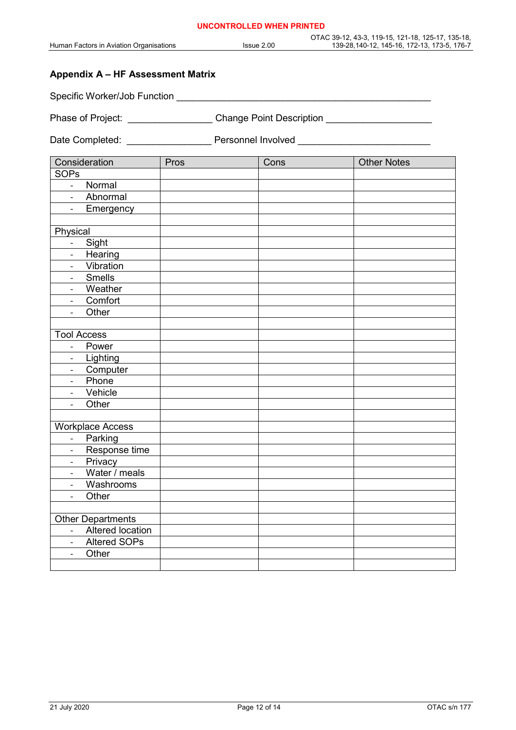### **Appendix A – HF Assessment Matrix**

Specific Worker/Job Function \_\_\_\_\_\_\_\_\_\_\_\_\_\_\_\_\_\_\_\_\_\_\_\_\_\_\_\_\_\_\_\_\_\_\_\_\_\_\_\_\_\_\_\_\_\_\_\_

Phase of Project: \_\_\_\_\_\_\_\_\_\_\_\_\_\_\_\_\_\_\_\_\_Change Point Description \_\_\_\_\_\_\_\_\_\_\_\_\_\_\_\_

Date Completed: \_\_\_\_\_\_\_\_\_\_\_\_\_\_\_\_\_\_\_\_\_\_\_\_\_ Personnel Involved \_\_\_\_\_\_\_\_\_\_\_\_\_\_\_\_\_\_\_\_

| Consideration                             | Pros | Cons | <b>Other Notes</b> |
|-------------------------------------------|------|------|--------------------|
| <b>SOPs</b>                               |      |      |                    |
| Normal<br>$\omega_{\rm{eff}}$             |      |      |                    |
| Abnormal<br>$\sim 10^{-11}$               |      |      |                    |
| Emergency<br>$\mathbb{Z}^{\mathbb{Z}}$    |      |      |                    |
|                                           |      |      |                    |
| Physical                                  |      |      |                    |
| Sight<br>$\Box$                           |      |      |                    |
| Hearing<br>$\overline{\phantom{a}}$       |      |      |                    |
| Vibration<br>$\overline{a}$               |      |      |                    |
| Smells<br>$\overline{\phantom{a}}$        |      |      |                    |
| Weather<br>$\overline{a}$                 |      |      |                    |
| Comfort<br>$\Box$                         |      |      |                    |
| Other                                     |      |      |                    |
|                                           |      |      |                    |
| <b>Tool Access</b>                        |      |      |                    |
| Power<br>$\overline{\phantom{a}}$         |      |      |                    |
| Lighting<br>$\overline{\phantom{a}}$      |      |      |                    |
| Computer<br>$\blacksquare$                |      |      |                    |
| Phone<br>$\overline{\phantom{a}}$         |      |      |                    |
| Vehicle<br>$\frac{1}{2}$                  |      |      |                    |
| Other<br>$\overline{\phantom{a}}$         |      |      |                    |
|                                           |      |      |                    |
| <b>Workplace Access</b>                   |      |      |                    |
| Parking<br>$\omega_{\rm c}$               |      |      |                    |
| Response time<br>$\omega$                 |      |      |                    |
| Privacy<br>$\equiv$                       |      |      |                    |
| Water / meals<br>$\overline{\phantom{0}}$ |      |      |                    |
| Washrooms<br>$\overline{\phantom{a}}$     |      |      |                    |
| Other<br>$\frac{1}{2}$                    |      |      |                    |
|                                           |      |      |                    |
| <b>Other Departments</b>                  |      |      |                    |
| - Altered location                        |      |      |                    |
| <b>Altered SOPs</b><br>$\equiv$           |      |      |                    |
| Other<br>$\overline{a}$                   |      |      |                    |
|                                           |      |      |                    |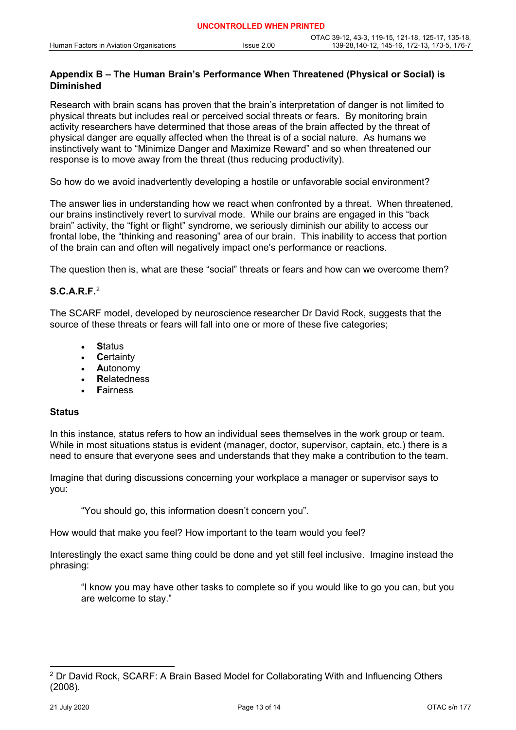### **Appendix B – The Human Brain's Performance When Threatened (Physical or Social) is Diminished**

Research with brain scans has proven that the brain's interpretation of danger is not limited to physical threats but includes real or perceived social threats or fears. By monitoring brain activity researchers have determined that those areas of the brain affected by the threat of physical danger are equally affected when the threat is of a social nature. As humans we instinctively want to "Minimize Danger and Maximize Reward" and so when threatened our response is to move away from the threat (thus reducing productivity).

So how do we avoid inadvertently developing a hostile or unfavorable social environment?

The answer lies in understanding how we react when confronted by a threat. When threatened, our brains instinctively revert to survival mode. While our brains are engaged in this "back brain" activity, the "fight or flight" syndrome, we seriously diminish our ability to access our frontal lobe, the "thinking and reasoning" area of our brain. This inability to access that portion of the brain can and often will negatively impact one's performance or reactions.

The question then is, what are these "social" threats or fears and how can we overcome them?

### **S.C.A.R.F.**[2](#page-12-0)

The SCARF model, developed by neuroscience researcher Dr David Rock, suggests that the source of these threats or fears will fall into one or more of these five categories;

- **S**tatus
- **C**ertainty
- **A**utonomy
- **R**elatedness
- **F**airness

#### **Status**

In this instance, status refers to how an individual sees themselves in the work group or team. While in most situations status is evident (manager, doctor, supervisor, captain, etc.) there is a need to ensure that everyone sees and understands that they make a contribution to the team.

Imagine that during discussions concerning your workplace a manager or supervisor says to you:

"You should go, this information doesn't concern you".

How would that make you feel? How important to the team would you feel?

Interestingly the exact same thing could be done and yet still feel inclusive. Imagine instead the phrasing:

"I know you may have other tasks to complete so if you would like to go you can, but you are welcome to stay."

<span id="page-12-0"></span><sup>&</sup>lt;sup>2</sup> Dr David Rock, SCARF: A Brain Based Model for Collaborating With and Influencing Others (2008).